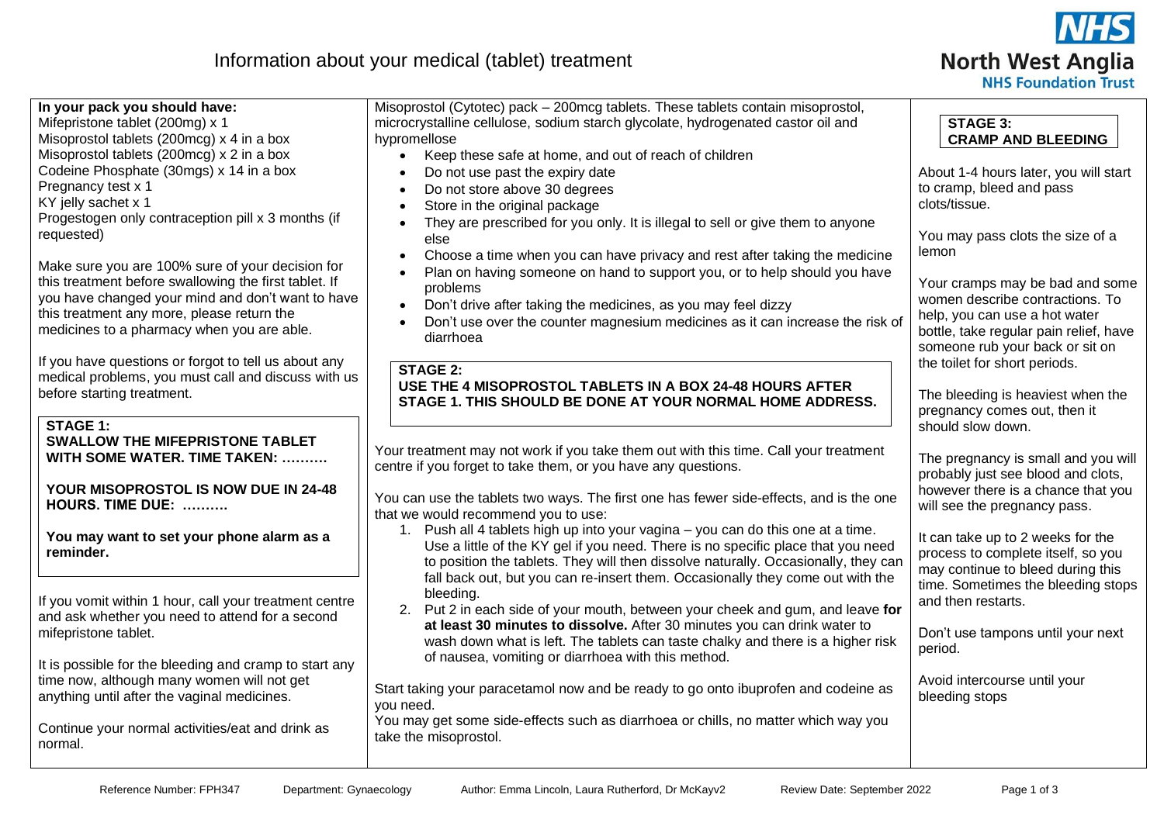

# Information about your medical (tablet) treatment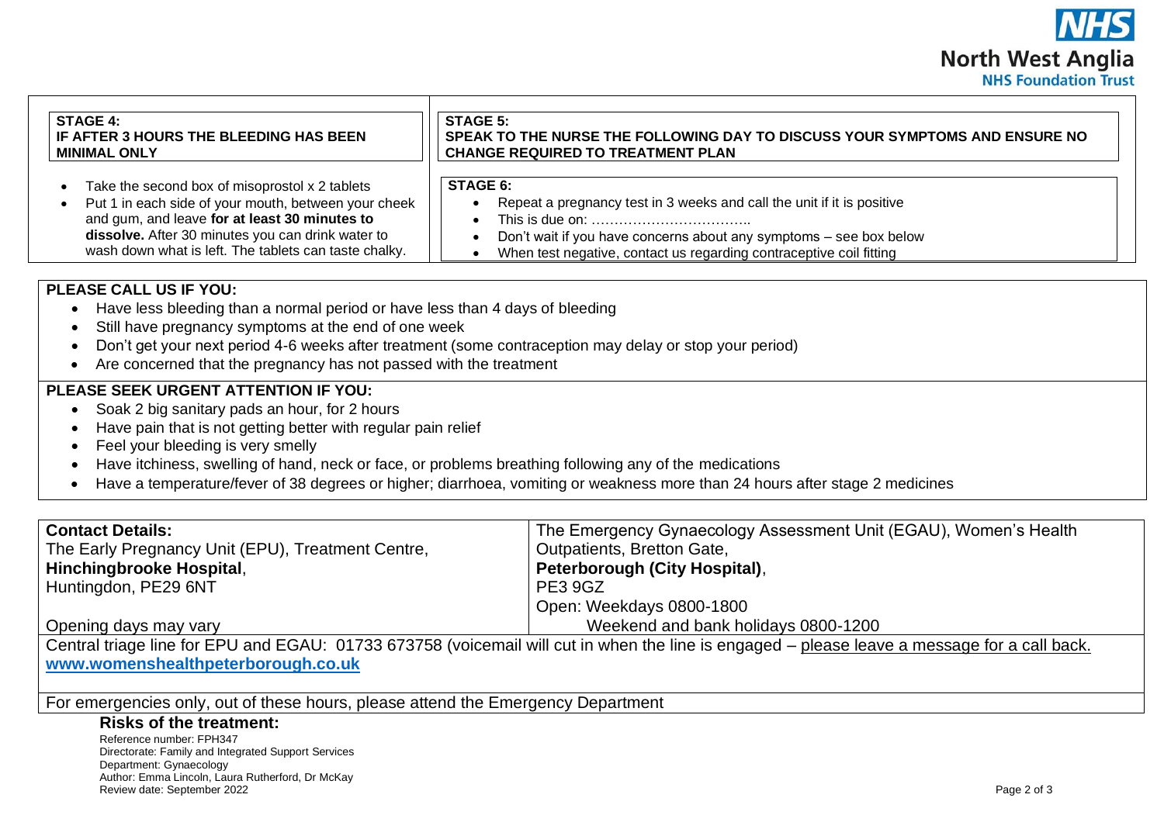

| <b>STAGE 4:</b>                                                                                                                                                                                                                             | <b>STAGE 5:</b>                                                                                                                                                                                                                        |
|---------------------------------------------------------------------------------------------------------------------------------------------------------------------------------------------------------------------------------------------|----------------------------------------------------------------------------------------------------------------------------------------------------------------------------------------------------------------------------------------|
| IF AFTER 3 HOURS THE BLEEDING HAS BEEN                                                                                                                                                                                                      | SPEAK TO THE NURSE THE FOLLOWING DAY TO DISCUSS YOUR SYMPTOMS AND ENSURE NO                                                                                                                                                            |
| <b>MINIMAL ONLY</b>                                                                                                                                                                                                                         | <b>CHANGE REQUIRED TO TREATMENT PLAN</b>                                                                                                                                                                                               |
| Take the second box of misoprostol x 2 tablets                                                                                                                                                                                              | <b>STAGE 6:</b>                                                                                                                                                                                                                        |
| Put 1 in each side of your mouth, between your cheek                                                                                                                                                                                        | Repeat a pregnancy test in 3 weeks and call the unit if it is positive                                                                                                                                                                 |
| and gum, and leave for at least 30 minutes to                                                                                                                                                                                               |                                                                                                                                                                                                                                        |
| dissolve. After 30 minutes you can drink water to                                                                                                                                                                                           | Don't wait if you have concerns about any symptoms - see box below                                                                                                                                                                     |
| wash down what is left. The tablets can taste chalky.                                                                                                                                                                                       | When test negative, contact us regarding contraceptive coil fitting                                                                                                                                                                    |
| <b>PLEASE CALL US IF YOU:</b><br>Have less bleeding than a normal period or have less than 4 days of bleeding<br>Still have pregnancy symptoms at the end of one week<br>Are concerned that the pregnancy has not passed with the treatment | Don't get your next period 4-6 weeks after treatment (some contraception may delay or stop your period)                                                                                                                                |
| <b>PLEASE SEEK URGENT ATTENTION IF YOU:</b><br>Soak 2 big sanitary pads an hour, for 2 hours<br>Have pain that is not getting better with regular pain relief<br>Feel your bleeding is very smelly                                          | Have itchiness, swelling of hand, neck or face, or problems breathing following any of the medications<br>Have a temperature/fever of 38 degrees or higher; diarrhoea, vomiting or weakness more than 24 hours after stage 2 medicines |

| <b>Contact Details:</b>                           | The Emergency Gynaecology Assessment Unit (EGAU), Women's Health |
|---------------------------------------------------|------------------------------------------------------------------|
| The Early Pregnancy Unit (EPU), Treatment Centre, | Outpatients, Bretton Gate,                                       |
| Hinchingbrooke Hospital,                          | Peterborough (City Hospital),                                    |
| Huntingdon, PE29 6NT                              | PE3 9GZ                                                          |
|                                                   | Open: Weekdays 0800-1800                                         |
| Opening days may vary                             | Weekend and bank holidays 0800-1200                              |

Central triage line for EPU and EGAU: 01733 673758 (voicemail will cut in when the line is engaged – please leave a message for a call back. **[www.womenshealthpeterborough.co.uk](http://www.womenshealthpeterborough.co.uk/)**

For emergencies only, out of these hours, please attend the Emergency Department

#### **Risks of the treatment:**

Reference number: FPH347 Directorate: Family and Integrated Support Services Department: Gynaecology Author: Emma Lincoln, Laura Rutherford, Dr McKay Review date: September 2022 Page 2 of 3